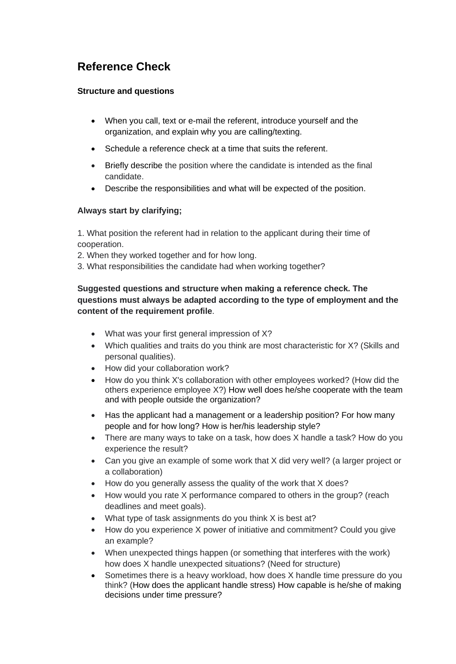# **Reference Check**

### **Structure and questions**

- When you call, text or e-mail the referent, introduce yourself and the organization, and explain why you are calling/texting.
- Schedule a reference check at a time that suits the referent.
- Briefly describe the position where the candidate is intended as the final candidate.
- Describe the responsibilities and what will be expected of the position.

### **Always start by clarifying;**

1. What position the referent had in relation to the applicant during their time of cooperation.

- 2. When they worked together and for how long.
- 3. What responsibilities the candidate had when working together?

## **Suggested questions and structure when making a reference check. The questions must always be adapted according to the type of employment and the content of the requirement profile**.

- What was your first general impression of X?
- Which qualities and traits do you think are most characteristic for X? (Skills and personal qualities).
- How did your collaboration work?
- How do you think X's collaboration with other employees worked? (How did the others experience employee X?) How well does he/she cooperate with the team and with people outside the organization?
- Has the applicant had a management or a leadership position? For how many people and for how long? How is her/his leadership style?
- There are many ways to take on a task, how does X handle a task? How do you experience the result?
- Can you give an example of some work that X did very well? (a larger project or a collaboration)
- How do you generally assess the quality of the work that X does?
- How would you rate X performance compared to others in the group? (reach deadlines and meet goals).
- What type of task assignments do you think X is best at?
- How do you experience X power of initiative and commitment? Could you give an example?
- When unexpected things happen (or something that interferes with the work) how does X handle unexpected situations? (Need for structure)
- Sometimes there is a heavy workload, how does X handle time pressure do you think? (How does the applicant handle stress) How capable is he/she of making decisions under time pressure?